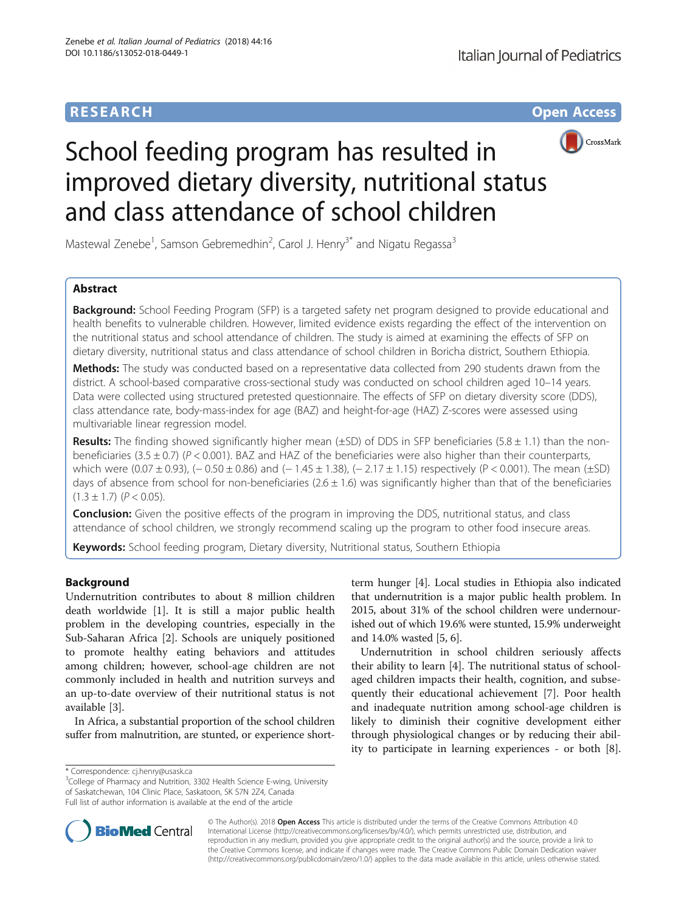# **RESEARCH CHE Open Access**



# School feeding program has resulted in improved dietary diversity, nutritional status and class attendance of school children

Mastewal Zenebe<sup>1</sup>, Samson Gebremedhin<sup>2</sup>, Carol J. Henry<sup>3\*</sup> and Nigatu Regassa<sup>3</sup>

# Abstract

**Background:** School Feeding Program (SFP) is a targeted safety net program designed to provide educational and health benefits to vulnerable children. However, limited evidence exists regarding the effect of the intervention on the nutritional status and school attendance of children. The study is aimed at examining the effects of SFP on dietary diversity, nutritional status and class attendance of school children in Boricha district, Southern Ethiopia.

Methods: The study was conducted based on a representative data collected from 290 students drawn from the district. A school-based comparative cross-sectional study was conducted on school children aged 10–14 years. Data were collected using structured pretested questionnaire. The effects of SFP on dietary diversity score (DDS), class attendance rate, body-mass-index for age (BAZ) and height-for-age (HAZ) Z-scores were assessed using multivariable linear regression model.

**Results:** The finding showed significantly higher mean ( $\pm$ SD) of DDS in SFP beneficiaries (5.8  $\pm$  1.1) than the nonbeneficiaries (3.5  $\pm$  0.7) (P < 0.001). BAZ and HAZ of the beneficiaries were also higher than their counterparts, which were (0.07 ± 0.93), (− 0.50 ± 0.86) and (− 1.45 ± 1.38), (− 2.17 ± 1.15) respectively (P < 0.001). The mean (±SD) days of absence from school for non-beneficiaries  $(2.6 \pm 1.6)$  was significantly higher than that of the beneficiaries  $(1.3 \pm 1.7)$   $(P < 0.05)$ .

**Conclusion:** Given the positive effects of the program in improving the DDS, nutritional status, and class attendance of school children, we strongly recommend scaling up the program to other food insecure areas.

Keywords: School feeding program, Dietary diversity, Nutritional status, Southern Ethiopia

# Background

Undernutrition contributes to about 8 million children death worldwide [[1\]](#page-6-0). It is still a major public health problem in the developing countries, especially in the Sub-Saharan Africa [[2\]](#page-6-0). Schools are uniquely positioned to promote healthy eating behaviors and attitudes among children; however, school-age children are not commonly included in health and nutrition surveys and an up-to-date overview of their nutritional status is not available [[3\]](#page-6-0).

In Africa, a substantial proportion of the school children suffer from malnutrition, are stunted, or experience short-

term hunger [\[4\]](#page-6-0). Local studies in Ethiopia also indicated that undernutrition is a major public health problem. In 2015, about 31% of the school children were undernourished out of which 19.6% were stunted, 15.9% underweight and 14.0% wasted [\[5](#page-6-0), [6](#page-6-0)].

Undernutrition in school children seriously affects their ability to learn [\[4](#page-6-0)]. The nutritional status of schoolaged children impacts their health, cognition, and subsequently their educational achievement [\[7](#page-6-0)]. Poor health and inadequate nutrition among school-age children is likely to diminish their cognitive development either through physiological changes or by reducing their ability to participate in learning experiences - or both [\[8](#page-6-0)].

<sup>&</sup>lt;sup>3</sup>College of Pharmacy and Nutrition, 3302 Health Science E-wing, University of Saskatchewan, 104 Clinic Place, Saskatoon, SK S7N 2Z4, Canada Full list of author information is available at the end of the article



© The Author(s). 2018 Open Access This article is distributed under the terms of the Creative Commons Attribution 4.0 International License [\(http://creativecommons.org/licenses/by/4.0/](http://creativecommons.org/licenses/by/4.0/)), which permits unrestricted use, distribution, and reproduction in any medium, provided you give appropriate credit to the original author(s) and the source, provide a link to the Creative Commons license, and indicate if changes were made. The Creative Commons Public Domain Dedication waiver [\(http://creativecommons.org/publicdomain/zero/1.0/](http://creativecommons.org/publicdomain/zero/1.0/)) applies to the data made available in this article, unless otherwise stated.

<sup>\*</sup> Correspondence: [cj.henry@usask.ca](mailto:cj.henry@usask.ca) <sup>3</sup>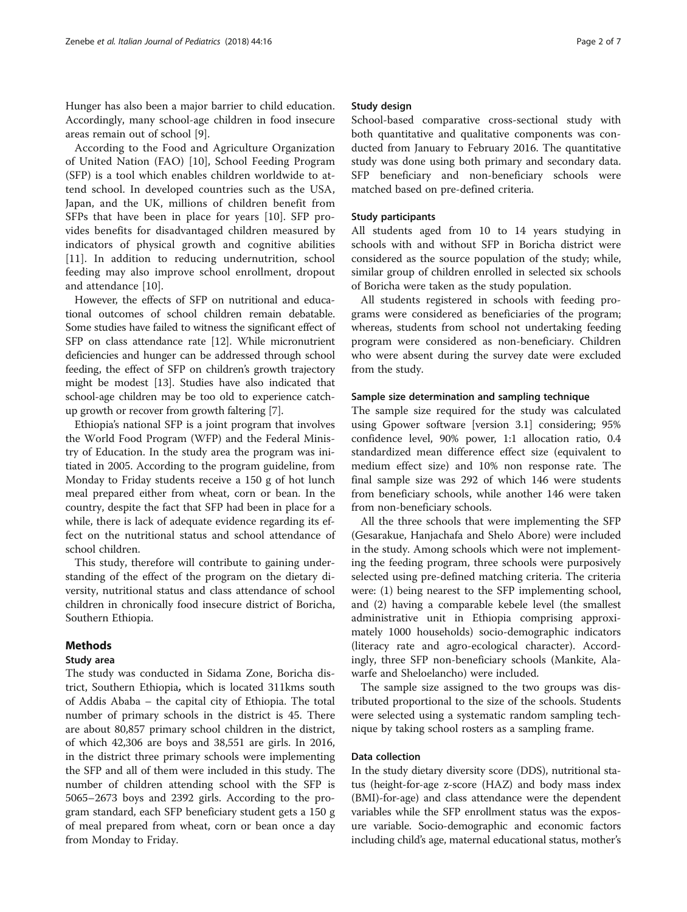Hunger has also been a major barrier to child education. Accordingly, many school-age children in food insecure areas remain out of school [[9\]](#page-6-0).

According to the Food and Agriculture Organization of United Nation (FAO) [[10](#page-6-0)], School Feeding Program (SFP) is a tool which enables children worldwide to attend school. In developed countries such as the USA, Japan, and the UK, millions of children benefit from SFPs that have been in place for years [\[10](#page-6-0)]. SFP provides benefits for disadvantaged children measured by indicators of physical growth and cognitive abilities [[11\]](#page-6-0). In addition to reducing undernutrition, school feeding may also improve school enrollment, dropout and attendance [\[10](#page-6-0)].

However, the effects of SFP on nutritional and educational outcomes of school children remain debatable. Some studies have failed to witness the significant effect of SFP on class attendance rate [\[12\]](#page-6-0). While micronutrient deficiencies and hunger can be addressed through school feeding, the effect of SFP on children's growth trajectory might be modest [[13](#page-6-0)]. Studies have also indicated that school-age children may be too old to experience catchup growth or recover from growth faltering [[7\]](#page-6-0).

Ethiopia's national SFP is a joint program that involves the World Food Program (WFP) and the Federal Ministry of Education. In the study area the program was initiated in 2005. According to the program guideline, from Monday to Friday students receive a 150 g of hot lunch meal prepared either from wheat, corn or bean. In the country, despite the fact that SFP had been in place for a while, there is lack of adequate evidence regarding its effect on the nutritional status and school attendance of school children.

This study, therefore will contribute to gaining understanding of the effect of the program on the dietary diversity, nutritional status and class attendance of school children in chronically food insecure district of Boricha, Southern Ethiopia.

# Methods

# Study area

The study was conducted in Sidama Zone, Boricha district, Southern Ethiopia, which is located 311kms south of Addis Ababa – the capital city of Ethiopia. The total number of primary schools in the district is 45. There are about 80,857 primary school children in the district, of which 42,306 are boys and 38,551 are girls. In 2016, in the district three primary schools were implementing the SFP and all of them were included in this study. The number of children attending school with the SFP is 5065–2673 boys and 2392 girls. According to the program standard, each SFP beneficiary student gets a 150 g of meal prepared from wheat, corn or bean once a day from Monday to Friday.

# Study design

School-based comparative cross-sectional study with both quantitative and qualitative components was conducted from January to February 2016. The quantitative study was done using both primary and secondary data. SFP beneficiary and non-beneficiary schools were matched based on pre-defined criteria.

# Study participants

All students aged from 10 to 14 years studying in schools with and without SFP in Boricha district were considered as the source population of the study; while, similar group of children enrolled in selected six schools of Boricha were taken as the study population.

All students registered in schools with feeding programs were considered as beneficiaries of the program; whereas, students from school not undertaking feeding program were considered as non-beneficiary. Children who were absent during the survey date were excluded from the study.

# Sample size determination and sampling technique

The sample size required for the study was calculated using Gpower software [version 3.1] considering; 95% confidence level, 90% power, 1:1 allocation ratio, 0.4 standardized mean difference effect size (equivalent to medium effect size) and 10% non response rate. The final sample size was 292 of which 146 were students from beneficiary schools, while another 146 were taken from non-beneficiary schools.

All the three schools that were implementing the SFP (Gesarakue, Hanjachafa and Shelo Abore) were included in the study. Among schools which were not implementing the feeding program, three schools were purposively selected using pre-defined matching criteria. The criteria were: (1) being nearest to the SFP implementing school, and (2) having a comparable kebele level (the smallest administrative unit in Ethiopia comprising approximately 1000 households) socio-demographic indicators (literacy rate and agro-ecological character). Accordingly, three SFP non-beneficiary schools (Mankite, Alawarfe and Sheloelancho) were included.

The sample size assigned to the two groups was distributed proportional to the size of the schools. Students were selected using a systematic random sampling technique by taking school rosters as a sampling frame.

# Data collection

In the study dietary diversity score (DDS), nutritional status (height-for-age z-score (HAZ) and body mass index (BMI)-for-age) and class attendance were the dependent variables while the SFP enrollment status was the exposure variable. Socio-demographic and economic factors including child's age, maternal educational status, mother's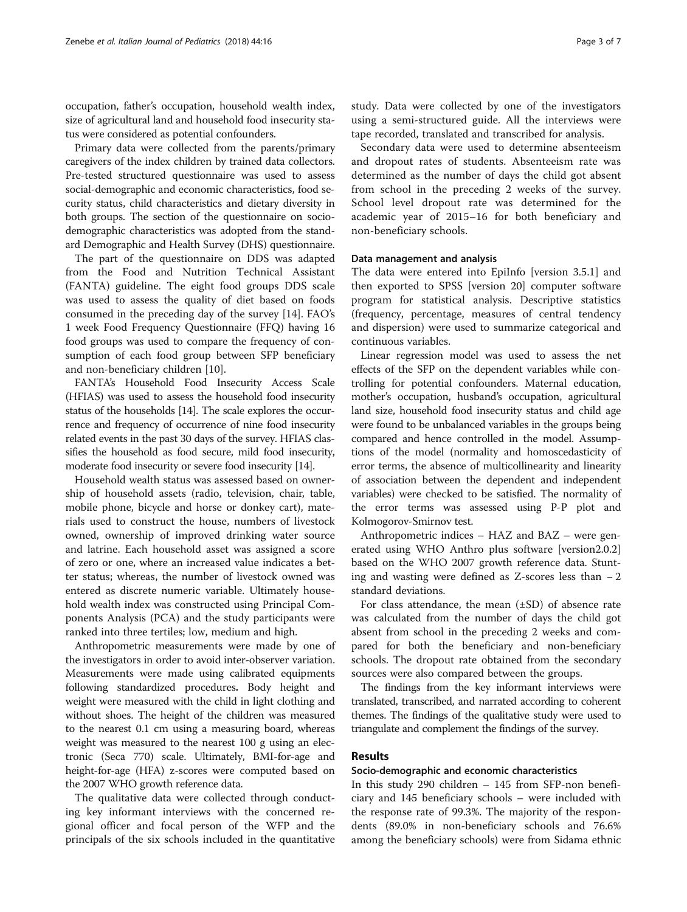occupation, father's occupation, household wealth index, size of agricultural land and household food insecurity status were considered as potential confounders.

Primary data were collected from the parents/primary caregivers of the index children by trained data collectors. Pre-tested structured questionnaire was used to assess social-demographic and economic characteristics, food security status, child characteristics and dietary diversity in both groups. The section of the questionnaire on sociodemographic characteristics was adopted from the standard Demographic and Health Survey (DHS) questionnaire.

The part of the questionnaire on DDS was adapted from the Food and Nutrition Technical Assistant (FANTA) guideline. The eight food groups DDS scale was used to assess the quality of diet based on foods consumed in the preceding day of the survey [[14\]](#page-6-0). FAO's 1 week Food Frequency Questionnaire (FFQ) having 16 food groups was used to compare the frequency of consumption of each food group between SFP beneficiary and non-beneficiary children [[10\]](#page-6-0).

FANTA's Household Food Insecurity Access Scale (HFIAS) was used to assess the household food insecurity status of the households [[14\]](#page-6-0). The scale explores the occurrence and frequency of occurrence of nine food insecurity related events in the past 30 days of the survey. HFIAS classifies the household as food secure, mild food insecurity, moderate food insecurity or severe food insecurity [[14](#page-6-0)].

Household wealth status was assessed based on ownership of household assets (radio, television, chair, table, mobile phone, bicycle and horse or donkey cart), materials used to construct the house, numbers of livestock owned, ownership of improved drinking water source and latrine. Each household asset was assigned a score of zero or one, where an increased value indicates a better status; whereas, the number of livestock owned was entered as discrete numeric variable. Ultimately household wealth index was constructed using Principal Components Analysis (PCA) and the study participants were ranked into three tertiles; low, medium and high.

Anthropometric measurements were made by one of the investigators in order to avoid inter-observer variation. Measurements were made using calibrated equipments following standardized procedures. Body height and weight were measured with the child in light clothing and without shoes. The height of the children was measured to the nearest 0.1 cm using a measuring board, whereas weight was measured to the nearest 100 g using an electronic (Seca 770) scale. Ultimately, BMI-for-age and height-for-age (HFA) z-scores were computed based on the 2007 WHO growth reference data.

The qualitative data were collected through conducting key informant interviews with the concerned regional officer and focal person of the WFP and the principals of the six schools included in the quantitative study. Data were collected by one of the investigators using a semi-structured guide. All the interviews were tape recorded, translated and transcribed for analysis.

Secondary data were used to determine absenteeism and dropout rates of students. Absenteeism rate was determined as the number of days the child got absent from school in the preceding 2 weeks of the survey. School level dropout rate was determined for the academic year of 2015–16 for both beneficiary and non-beneficiary schools.

# Data management and analysis

The data were entered into EpiInfo [version 3.5.1] and then exported to SPSS [version 20] computer software program for statistical analysis. Descriptive statistics (frequency, percentage, measures of central tendency and dispersion) were used to summarize categorical and continuous variables.

Linear regression model was used to assess the net effects of the SFP on the dependent variables while controlling for potential confounders. Maternal education, mother's occupation, husband's occupation, agricultural land size, household food insecurity status and child age were found to be unbalanced variables in the groups being compared and hence controlled in the model. Assumptions of the model (normality and homoscedasticity of error terms, the absence of multicollinearity and linearity of association between the dependent and independent variables) were checked to be satisfied. The normality of the error terms was assessed using P-P plot and Kolmogorov-Smirnov test.

Anthropometric indices – HAZ and BAZ – were generated using WHO Anthro plus software [version2.0.2] based on the WHO 2007 growth reference data. Stunting and wasting were defined as Z-scores less than − 2 standard deviations.

For class attendance, the mean (±SD) of absence rate was calculated from the number of days the child got absent from school in the preceding 2 weeks and compared for both the beneficiary and non-beneficiary schools. The dropout rate obtained from the secondary sources were also compared between the groups.

The findings from the key informant interviews were translated, transcribed, and narrated according to coherent themes. The findings of the qualitative study were used to triangulate and complement the findings of the survey.

# Results

# Socio-demographic and economic characteristics

In this study 290 children – 145 from SFP-non beneficiary and 145 beneficiary schools – were included with the response rate of 99.3%. The majority of the respondents (89.0% in non-beneficiary schools and 76.6% among the beneficiary schools) were from Sidama ethnic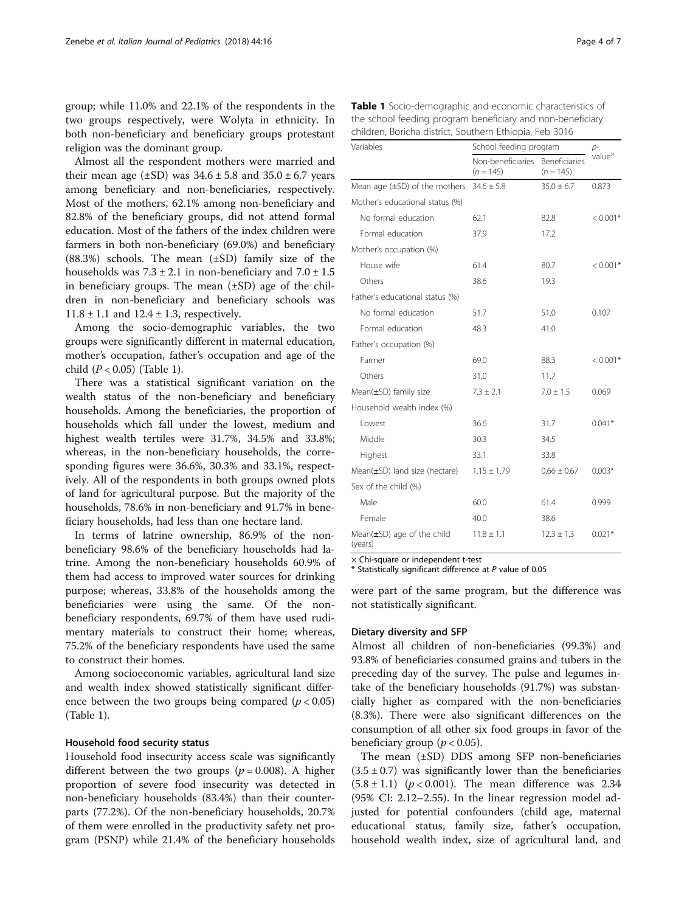group; while 11.0% and 22.1% of the respondents in the two groups respectively, were Wolyta in ethnicity. In both non-beneficiary and beneficiary groups protestant religion was the dominant group.

Almost all the respondent mothers were married and their mean age  $(\pm SD)$  was  $34.6 \pm 5.8$  and  $35.0 \pm 6.7$  years among beneficiary and non-beneficiaries, respectively. Most of the mothers, 62.1% among non-beneficiary and 82.8% of the beneficiary groups, did not attend formal education. Most of the fathers of the index children were farmers in both non-beneficiary (69.0%) and beneficiary (88.3%) schools. The mean (±SD) family size of the households was  $7.3 \pm 2.1$  in non-beneficiary and  $7.0 \pm 1.5$ in beneficiary groups. The mean  $(\pm SD)$  age of the children in non-beneficiary and beneficiary schools was  $11.8 \pm 1.1$  and  $12.4 \pm 1.3$ , respectively.

Among the socio-demographic variables, the two groups were significantly different in maternal education, mother's occupation, father's occupation and age of the child  $(P < 0.05)$  (Table 1).

There was a statistical significant variation on the wealth status of the non-beneficiary and beneficiary households. Among the beneficiaries, the proportion of households which fall under the lowest, medium and highest wealth tertiles were 31.7%, 34.5% and 33.8%; whereas, in the non-beneficiary households, the corresponding figures were 36.6%, 30.3% and 33.1%, respectively. All of the respondents in both groups owned plots of land for agricultural purpose. But the majority of the households, 78.6% in non-beneficiary and 91.7% in beneficiary households, had less than one hectare land.

In terms of latrine ownership, 86.9% of the nonbeneficiary 98.6% of the beneficiary households had latrine. Among the non-beneficiary households 60.9% of them had access to improved water sources for drinking purpose; whereas, 33.8% of the households among the beneficiaries were using the same. Of the nonbeneficiary respondents, 69.7% of them have used rudimentary materials to construct their home; whereas, 75.2% of the beneficiary respondents have used the same to construct their homes.

Among socioeconomic variables, agricultural land size and wealth index showed statistically significant difference between the two groups being compared ( $p < 0.05$ ) (Table 1).

#### Household food security status

Household food insecurity access scale was significantly different between the two groups ( $p = 0.008$ ). A higher proportion of severe food insecurity was detected in non-beneficiary households (83.4%) than their counterparts (77.2%). Of the non-beneficiary households, 20.7% of them were enrolled in the productivity safety net program (PSNP) while 21.4% of the beneficiary households

| Table 1 Socio-demographic and economic characteristics of  |
|------------------------------------------------------------|
| the school feeding program beneficiary and non-beneficiary |
| children, Boricha district, Southern Ethiopia, Feb 3016    |

| Variables                                   | School feeding program           | $p-$                         |                   |  |
|---------------------------------------------|----------------------------------|------------------------------|-------------------|--|
|                                             | Non-beneficiaries<br>$(n = 145)$ | Beneficiaries<br>$(n = 145)$ | value $^{\times}$ |  |
| Mean age $(\pm SD)$ of the mothers          | $34.6 \pm 5.8$                   | $35.0 \pm 6.7$               | 0.873             |  |
| Mother's educational status (%)             |                                  |                              |                   |  |
| No formal education                         | 62.1                             | 82.8                         | $< 0.001*$        |  |
| Formal education                            | 37.9                             | 17.2                         |                   |  |
| Mother's occupation (%)                     |                                  |                              |                   |  |
| House wife                                  | 61.4                             | 80.7                         | $< 0.001*$        |  |
| Others                                      | 38.6                             | 19.3                         |                   |  |
| Father's educational status (%)             |                                  |                              |                   |  |
| No formal education                         | 51.7                             | 51.0                         | 0.107             |  |
| Formal education                            | 48.3                             | 41.0                         |                   |  |
| Father's occupation (%)                     |                                  |                              |                   |  |
| Farmer                                      | 69.0                             | 88.3                         | $< 0.001*$        |  |
| Others                                      | 31.0                             | 11.7                         |                   |  |
| Mean $(\pm SD)$ family size                 | $7.3 \pm 2.1$                    | $7.0 \pm 1.5$                | 0.069             |  |
| Household wealth index (%)                  |                                  |                              |                   |  |
| Lowest                                      | 36.6                             | 31.7                         | $0.041*$          |  |
| Middle                                      | 30.3                             | 34.5                         |                   |  |
| Highest                                     | 33.1                             | 33.8                         |                   |  |
| Mean $(\pm SD)$ land size (hectare)         | $1.15 \pm 1.79$                  | $0.66 \pm 0.67$              | $0.003*$          |  |
| Sex of the child (%)                        |                                  |                              |                   |  |
| Male                                        | 60.0                             | 61.4                         | 0.999             |  |
| Female                                      | 40.0                             | 38.6                         |                   |  |
| Mean $(\pm SD)$ age of the child<br>(years) | $11.8 \pm 1.1$                   | $12.3 \pm 1.3$               | $0.021*$          |  |

× Chi-square or independent t-test

\* Statistically significant difference at P value of 0.05

were part of the same program, but the difference was not statistically significant.

## Dietary diversity and SFP

Almost all children of non-beneficiaries (99.3%) and 93.8% of beneficiaries consumed grains and tubers in the preceding day of the survey. The pulse and legumes intake of the beneficiary households (91.7%) was substancially higher as compared with the non-beneficiaries (8.3%). There were also significant differences on the consumption of all other six food groups in favor of the beneficiary group ( $p < 0.05$ ).

The mean (±SD) DDS among SFP non-beneficiaries  $(3.5 \pm 0.7)$  was significantly lower than the beneficiaries  $(5.8 \pm 1.1)$  ( $p < 0.001$ ). The mean difference was 2.34 (95% CI: 2.12–2.55). In the linear regression model adjusted for potential confounders (child age, maternal educational status, family size, father's occupation, household wealth index, size of agricultural land, and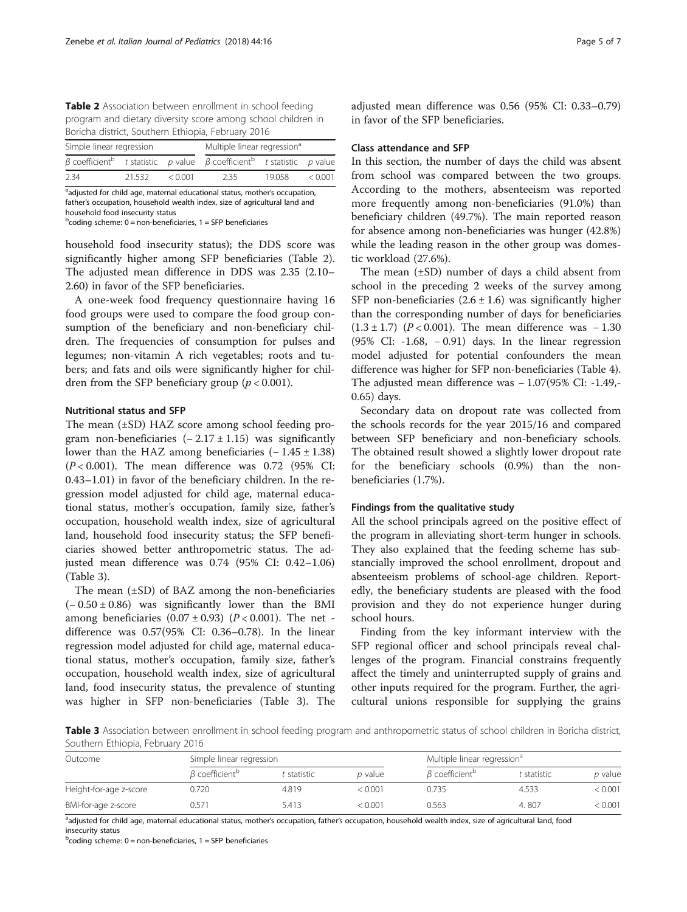Table 2 Association between enrollment in school feeding program and dietary diversity score among school children in Boricha district, Southern Ethiopia, February 2016

| Simple linear regression |        |              | Multiple linear regression <sup>a</sup>                                                                   |       |         |
|--------------------------|--------|--------------|-----------------------------------------------------------------------------------------------------------|-------|---------|
|                          |        |              | $\beta$ coefficient <sup>b</sup> t statistic p value $\beta$ coefficient <sup>b</sup> t statistic p value |       |         |
| 2.34                     | 21.532 | $\leq 0.001$ | 2.35                                                                                                      | 19058 | < 0.001 |

<sup>a</sup>adjusted for child age, maternal educational status, mother's occupation, father's occupation, household wealth index, size of agricultural land and household food insecurity status

 $b$ coding scheme: 0 = non-beneficiaries, 1 = SFP beneficiaries

household food insecurity status); the DDS score was significantly higher among SFP beneficiaries (Table 2). The adjusted mean difference in DDS was 2.35 (2.10– 2.60) in favor of the SFP beneficiaries.

A one-week food frequency questionnaire having 16 food groups were used to compare the food group consumption of the beneficiary and non-beneficiary children. The frequencies of consumption for pulses and legumes; non-vitamin A rich vegetables; roots and tubers; and fats and oils were significantly higher for children from the SFP beneficiary group ( $p < 0.001$ ).

# Nutritional status and SFP

The mean (±SD) HAZ score among school feeding program non-beneficiaries  $(-2.17 \pm 1.15)$  was significantly lower than the HAZ among beneficiaries  $(-1.45 \pm 1.38)$  $(P < 0.001)$ . The mean difference was 0.72 (95% CI: 0.43–1.01) in favor of the beneficiary children. In the regression model adjusted for child age, maternal educational status, mother's occupation, family size, father's occupation, household wealth index, size of agricultural land, household food insecurity status; the SFP beneficiaries showed better anthropometric status. The adjusted mean difference was 0.74 (95% CI: 0.42–1.06) (Table 3).

The mean (±SD) of BAZ among the non-beneficiaries  $(-0.50 \pm 0.86)$  was significantly lower than the BMI among beneficiaries  $(0.07 \pm 0.93)$   $(P < 0.001)$ . The net difference was 0.57(95% CI: 0.36–0.78). In the linear regression model adjusted for child age, maternal educational status, mother's occupation, family size, father's occupation, household wealth index, size of agricultural land, food insecurity status, the prevalence of stunting was higher in SFP non-beneficiaries (Table 3). The

adjusted mean difference was 0.56 (95% CI: 0.33–0.79) in favor of the SFP beneficiaries.

# Class attendance and SFP

In this section, the number of days the child was absent from school was compared between the two groups. According to the mothers, absenteeism was reported more frequently among non-beneficiaries (91.0%) than beneficiary children (49.7%). The main reported reason for absence among non-beneficiaries was hunger (42.8%) while the leading reason in the other group was domestic workload (27.6%).

The mean (±SD) number of days a child absent from school in the preceding 2 weeks of the survey among SFP non-beneficiaries  $(2.6 \pm 1.6)$  was significantly higher than the corresponding number of days for beneficiaries  $(1.3 \pm 1.7)$  (P < 0.001). The mean difference was - 1.30 (95% CI: -1.68, − 0.91) days. In the linear regression model adjusted for potential confounders the mean difference was higher for SFP non-beneficiaries (Table [4](#page-5-0)). The adjusted mean difference was − 1.07(95% CI: -1.49,- 0.65) days.

Secondary data on dropout rate was collected from the schools records for the year 2015/16 and compared between SFP beneficiary and non-beneficiary schools. The obtained result showed a slightly lower dropout rate for the beneficiary schools (0.9%) than the nonbeneficiaries (1.7%).

#### Findings from the qualitative study

All the school principals agreed on the positive effect of the program in alleviating short-term hunger in schools. They also explained that the feeding scheme has substancially improved the school enrollment, dropout and absenteeism problems of school-age children. Reportedly, the beneficiary students are pleased with the food provision and they do not experience hunger during school hours.

Finding from the key informant interview with the SFP regional officer and school principals reveal challenges of the program. Financial constrains frequently affect the timely and uninterrupted supply of grains and other inputs required for the program. Further, the agricultural unions responsible for supplying the grains

Table 3 Association between enrollment in school feeding program and anthropometric status of school children in Boricha district, Southern Ethiopia, February 2016

| Outcome                | Simple linear regression         |           |         | Multiple linear regression <sup>a</sup> |             |         |
|------------------------|----------------------------------|-----------|---------|-----------------------------------------|-------------|---------|
|                        | $\beta$ coefficient <sup>b</sup> | statistic | p value | $\beta$ coefficient <sup>b</sup>        | t statistic | p value |
| Height-for-age z-score | 0.720                            | 4.819     | < 0.001 | 0.735                                   | 4.533       | < 0.001 |
| BMI-for-age z-score    | 0.571                            | 5.413     | < 0.001 | 0.563                                   | 4.807       | < 0.001 |

adjusted for child age, maternal educational status, mother's occupation, father's occupation, household wealth index, size of agricultural land, food insecurity status

<sup>b</sup>coding scheme: 0 = non-beneficiaries, 1 = SFP beneficiaries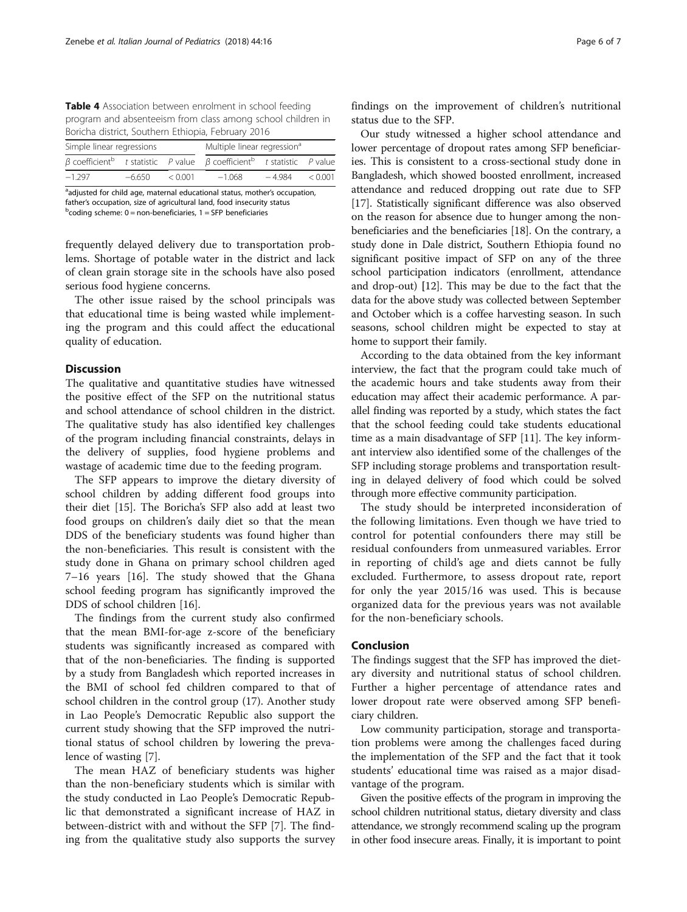<span id="page-5-0"></span>Table 4 Association between enrolment in school feeding program and absenteeism from class among school children in Boricha district, Southern Ethiopia, February 2016

| Simple linear regressions |          |         | Multiple linear regression <sup>a</sup>                                                                   |          |         |
|---------------------------|----------|---------|-----------------------------------------------------------------------------------------------------------|----------|---------|
|                           |          |         | $\beta$ coefficient <sup>b</sup> t statistic P value $\beta$ coefficient <sup>b</sup> t statistic P value |          |         |
| $-1.297$                  | $-6.650$ | < 0.001 | $-1.068$                                                                                                  | $-4.984$ | < 0.001 |

<sup>a</sup>adjusted for child age, maternal educational status, mother's occupation, father's occupation, size of agricultural land, food insecurity status <sup>b</sup>  $^{b}$ coding scheme: 0 = non-beneficiaries, 1 = SFP beneficiaries

frequently delayed delivery due to transportation problems. Shortage of potable water in the district and lack of clean grain storage site in the schools have also posed serious food hygiene concerns.

The other issue raised by the school principals was that educational time is being wasted while implementing the program and this could affect the educational quality of education.

# **Discussion**

The qualitative and quantitative studies have witnessed the positive effect of the SFP on the nutritional status and school attendance of school children in the district. The qualitative study has also identified key challenges of the program including financial constraints, delays in the delivery of supplies, food hygiene problems and wastage of academic time due to the feeding program.

The SFP appears to improve the dietary diversity of school children by adding different food groups into their diet [[15](#page-6-0)]. The Boricha's SFP also add at least two food groups on children's daily diet so that the mean DDS of the beneficiary students was found higher than the non-beneficiaries. This result is consistent with the study done in Ghana on primary school children aged 7–16 years [[16](#page-6-0)]. The study showed that the Ghana school feeding program has significantly improved the DDS of school children [[16\]](#page-6-0).

The findings from the current study also confirmed that the mean BMI-for-age z-score of the beneficiary students was significantly increased as compared with that of the non-beneficiaries. The finding is supported by a study from Bangladesh which reported increases in the BMI of school fed children compared to that of school children in the control group (17). Another study in Lao People's Democratic Republic also support the current study showing that the SFP improved the nutritional status of school children by lowering the prevalence of wasting [[7\]](#page-6-0).

The mean HAZ of beneficiary students was higher than the non-beneficiary students which is similar with the study conducted in Lao People's Democratic Republic that demonstrated a significant increase of HAZ in between-district with and without the SFP [\[7\]](#page-6-0). The finding from the qualitative study also supports the survey findings on the improvement of children's nutritional status due to the SFP.

Our study witnessed a higher school attendance and lower percentage of dropout rates among SFP beneficiaries. This is consistent to a cross-sectional study done in Bangladesh, which showed boosted enrollment, increased attendance and reduced dropping out rate due to SFP [[17](#page-6-0)]. Statistically significant difference was also observed on the reason for absence due to hunger among the nonbeneficiaries and the beneficiaries [\[18\]](#page-6-0). On the contrary, a study done in Dale district, Southern Ethiopia found no significant positive impact of SFP on any of the three school participation indicators (enrollment, attendance and drop-out) [12]. This may be due to the fact that the data for the above study was collected between September and October which is a coffee harvesting season. In such seasons, school children might be expected to stay at home to support their family.

According to the data obtained from the key informant interview, the fact that the program could take much of the academic hours and take students away from their education may affect their academic performance. A parallel finding was reported by a study, which states the fact that the school feeding could take students educational time as a main disadvantage of SFP [\[11\]](#page-6-0). The key informant interview also identified some of the challenges of the SFP including storage problems and transportation resulting in delayed delivery of food which could be solved through more effective community participation.

The study should be interpreted inconsideration of the following limitations. Even though we have tried to control for potential confounders there may still be residual confounders from unmeasured variables. Error in reporting of child's age and diets cannot be fully excluded. Furthermore, to assess dropout rate, report for only the year 2015/16 was used. This is because organized data for the previous years was not available for the non-beneficiary schools.

# Conclusion

The findings suggest that the SFP has improved the dietary diversity and nutritional status of school children. Further a higher percentage of attendance rates and lower dropout rate were observed among SFP beneficiary children.

Low community participation, storage and transportation problems were among the challenges faced during the implementation of the SFP and the fact that it took students' educational time was raised as a major disadvantage of the program.

Given the positive effects of the program in improving the school children nutritional status, dietary diversity and class attendance, we strongly recommend scaling up the program in other food insecure areas. Finally, it is important to point